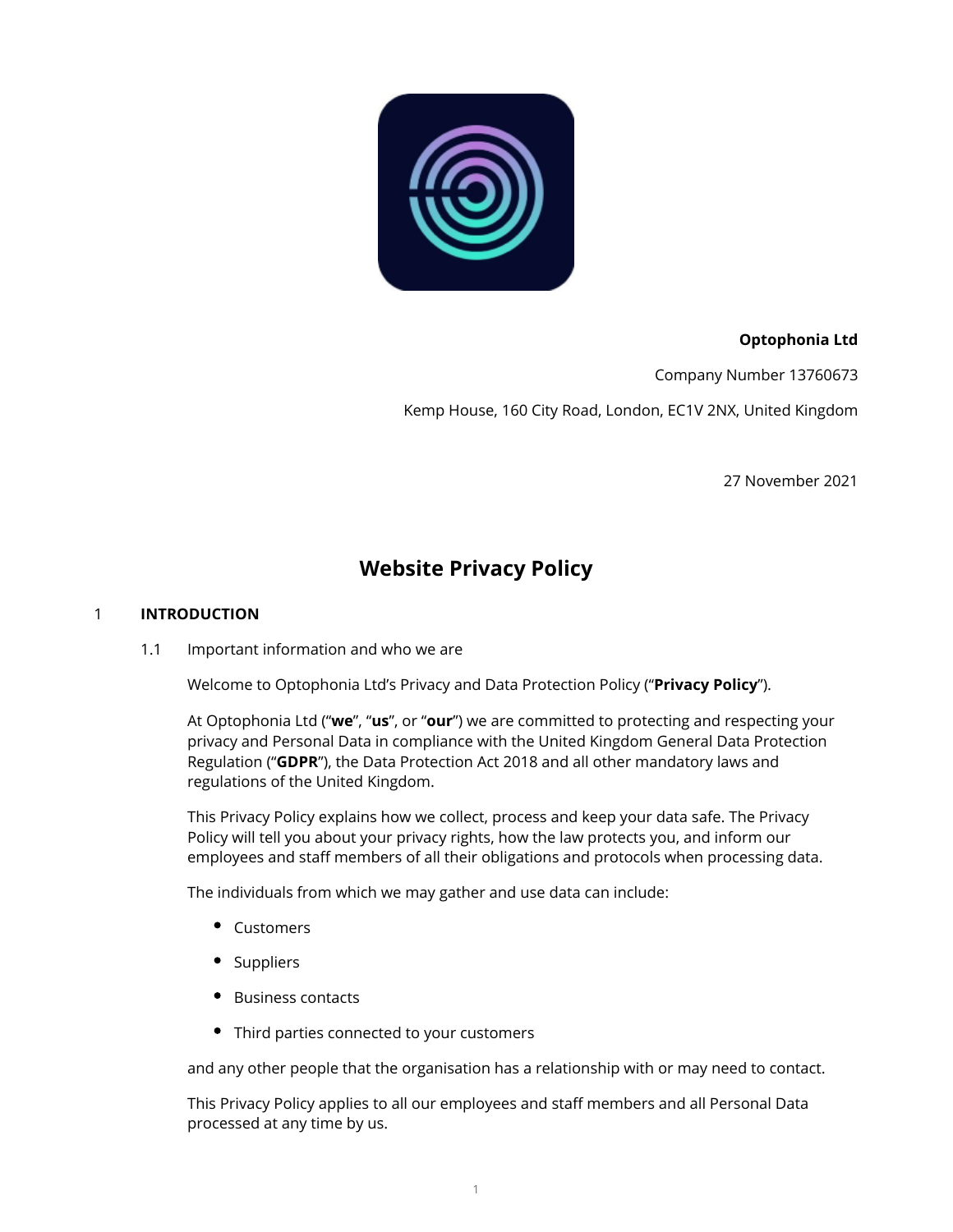

# **Optophonia Ltd**

Company Number 13760673

Kemp House, 160 City Road, London, EC1V 2NX, United Kingdom

27 November 2021

# **Website Privacy Policy**

## 1 **INTRODUCTION**

1.1 Important information and who we are

Welcome to Optophonia Ltd's Privacy and Data Protection Policy ("**Privacy Policy**").

At Optophonia Ltd ("**we**", "**us**", or "**our**") we are committed to protecting and respecting your privacy and Personal Data in compliance with the United Kingdom General Data Protection Regulation ("**GDPR**"), the Data Protection Act 2018 and all other mandatory laws and regulations of the United Kingdom.

This Privacy Policy explains how we collect, process and keep your data safe. The Privacy Policy will tell you about your privacy rights, how the law protects you, and inform our employees and staff members of all their obligations and protocols when processing data.

The individuals from which we may gather and use data can include:

- Customers
- Suppliers
- Business contacts
- Third parties connected to your customers

and any other people that the organisation has a relationship with or may need to contact.

This Privacy Policy applies to all our employees and staff members and all Personal Data processed at any time by us.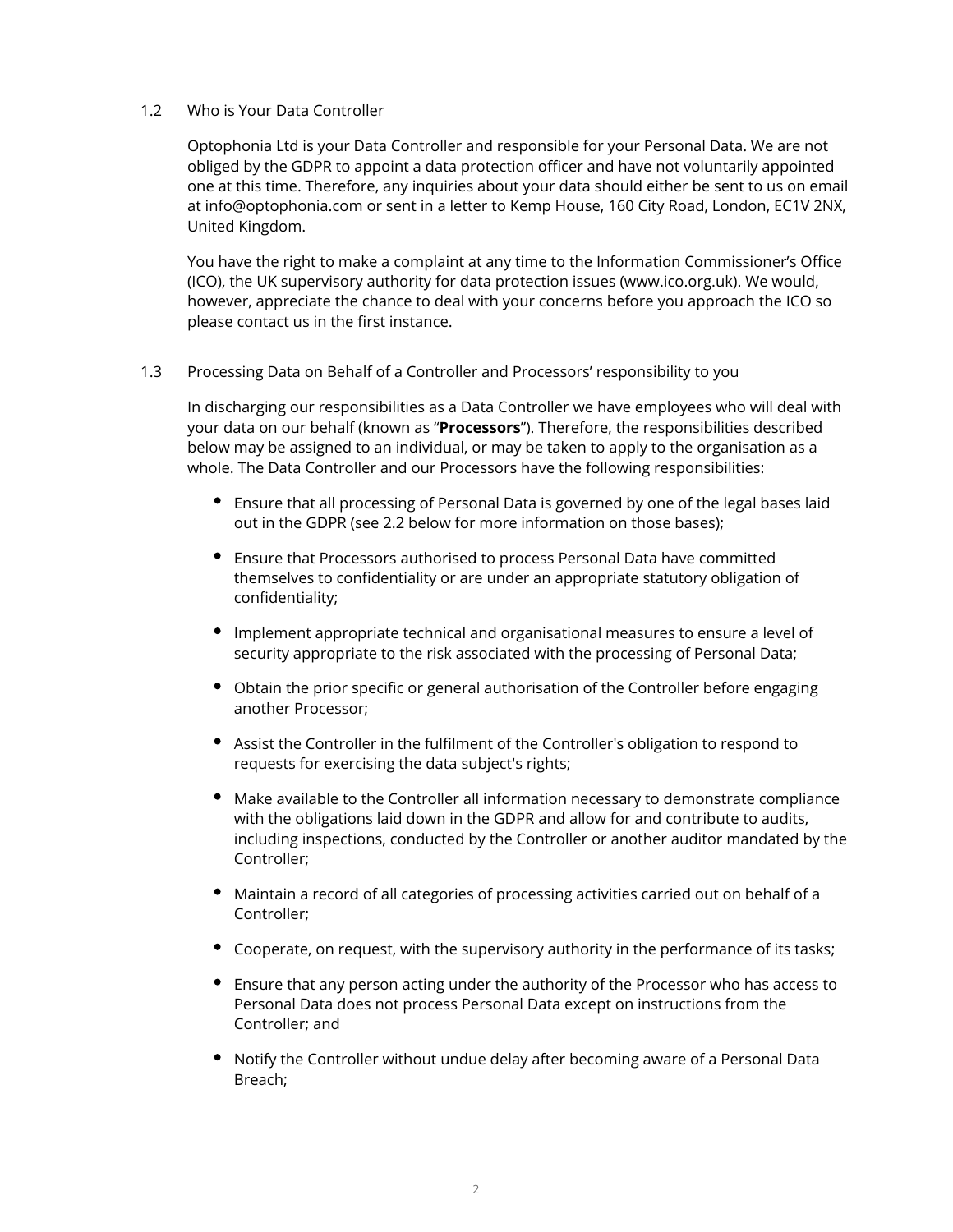## 1.2 Who is Your Data Controller

Optophonia Ltd is your Data Controller and responsible for your Personal Data. We are not obliged by the GDPR to appoint a data protection officer and have not voluntarily appointed one at this time. Therefore, any inquiries about your data should either be sent to us on email at info@optophonia.com or sent in a letter to Kemp House, 160 City Road, London, EC1V 2NX, United Kingdom.

You have the right to make a complaint at any time to the Information Commissioner's Office (ICO), the UK supervisory authority for data protection issues (www.ico.org.uk). We would, however, appreciate the chance to deal with your concerns before you approach the ICO so please contact us in the first instance.

## 1.3 Processing Data on Behalf of a Controller and Processors' responsibility to you

In discharging our responsibilities as a Data Controller we have employees who will deal with your data on our behalf (known as "**Processors**"). Therefore, the responsibilities described below may be assigned to an individual, or may be taken to apply to the organisation as a whole. The Data Controller and our Processors have the following responsibilities:

- Ensure that all processing of Personal Data is governed by one of the legal bases laid out in the GDPR (see 2.2 below for more information on those bases);
- Ensure that Processors authorised to process Personal Data have committed themselves to confidentiality or are under an appropriate statutory obligation of confidentiality;
- Implement appropriate technical and organisational measures to ensure a level of security appropriate to the risk associated with the processing of Personal Data;
- Obtain the prior specific or general authorisation of the Controller before engaging another Processor;
- Assist the Controller in the fulfilment of the Controller's obligation to respond to requests for exercising the data subject's rights;
- Make available to the Controller all information necessary to demonstrate compliance with the obligations laid down in the GDPR and allow for and contribute to audits, including inspections, conducted by the Controller or another auditor mandated by the Controller;
- Maintain a record of all categories of processing activities carried out on behalf of a Controller;
- Cooperate, on request, with the supervisory authority in the performance of its tasks;
- Ensure that any person acting under the authority of the Processor who has access to Personal Data does not process Personal Data except on instructions from the Controller; and
- Notify the Controller without undue delay after becoming aware of a Personal Data Breach;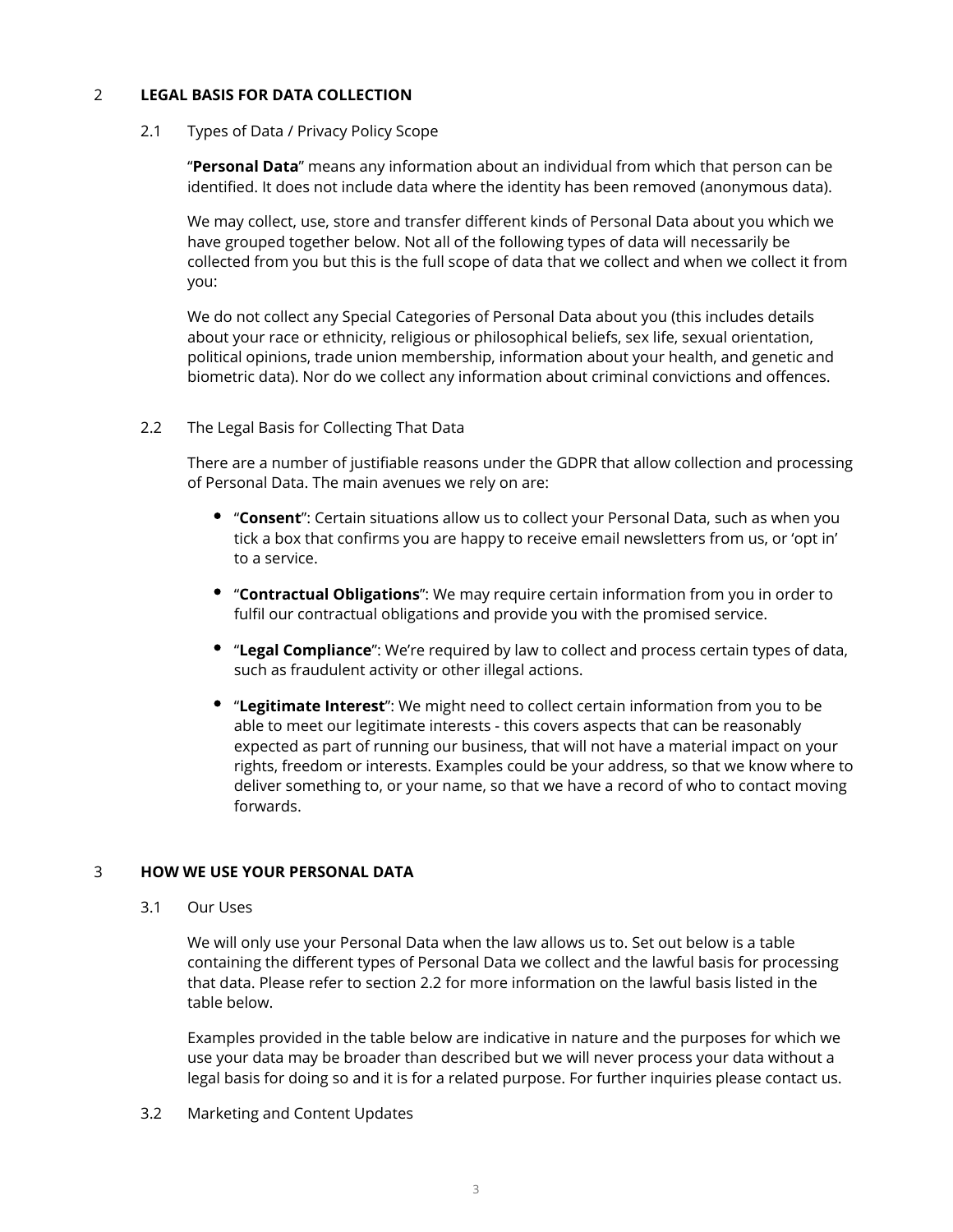## 2 **LEGAL BASIS FOR DATA COLLECTION**

#### 2.1 Types of Data / Privacy Policy Scope

"**Personal Data**" means any information about an individual from which that person can be identified. It does not include data where the identity has been removed (anonymous data).

We may collect, use, store and transfer different kinds of Personal Data about you which we have grouped together below. Not all of the following types of data will necessarily be collected from you but this is the full scope of data that we collect and when we collect it from you:

We do not collect any Special Categories of Personal Data about you (this includes details about your race or ethnicity, religious or philosophical beliefs, sex life, sexual orientation, political opinions, trade union membership, information about your health, and genetic and biometric data). Nor do we collect any information about criminal convictions and offences.

## 2.2 The Legal Basis for Collecting That Data

There are a number of justifiable reasons under the GDPR that allow collection and processing of Personal Data. The main avenues we rely on are:

- "**Consent**": Certain situations allow us to collect your Personal Data, such as when you tick a box that confirms you are happy to receive email newsletters from us, or 'opt in' to a service.
- "**Contractual Obligations**": We may require certain information from you in order to fulfil our contractual obligations and provide you with the promised service.
- "**Legal Compliance**": We're required by law to collect and process certain types of data, such as fraudulent activity or other illegal actions.
- "**Legitimate Interest**": We might need to collect certain information from you to be able to meet our legitimate interests - this covers aspects that can be reasonably expected as part of running our business, that will not have a material impact on your rights, freedom or interests. Examples could be your address, so that we know where to deliver something to, or your name, so that we have a record of who to contact moving forwards.

## 3 **HOW WE USE YOUR PERSONAL DATA**

3.1 Our Uses

We will only use your Personal Data when the law allows us to. Set out below is a table containing the different types of Personal Data we collect and the lawful basis for processing that data. Please refer to section 2.2 for more information on the lawful basis listed in the table below.

Examples provided in the table below are indicative in nature and the purposes for which we use your data may be broader than described but we will never process your data without a legal basis for doing so and it is for a related purpose. For further inquiries please contact us.

3.2 Marketing and Content Updates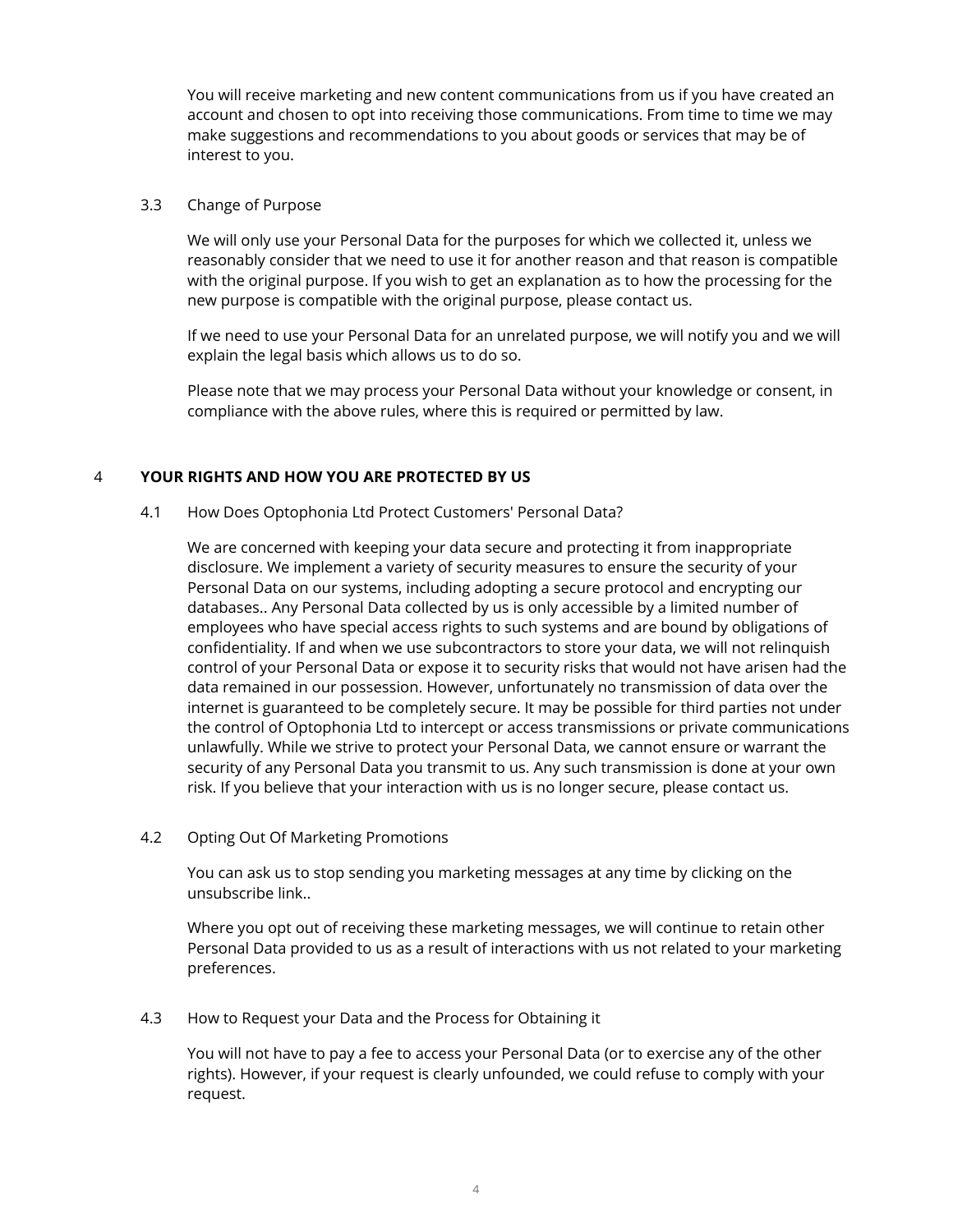You will receive marketing and new content communications from us if you have created an account and chosen to opt into receiving those communications. From time to time we may make suggestions and recommendations to you about goods or services that may be of interest to you.

#### 3.3 Change of Purpose

We will only use your Personal Data for the purposes for which we collected it, unless we reasonably consider that we need to use it for another reason and that reason is compatible with the original purpose. If you wish to get an explanation as to how the processing for the new purpose is compatible with the original purpose, please contact us.

If we need to use your Personal Data for an unrelated purpose, we will notify you and we will explain the legal basis which allows us to do so.

Please note that we may process your Personal Data without your knowledge or consent, in compliance with the above rules, where this is required or permitted by law.

## 4 **YOUR RIGHTS AND HOW YOU ARE PROTECTED BY US**

4.1 How Does Optophonia Ltd Protect Customers' Personal Data?

We are concerned with keeping your data secure and protecting it from inappropriate disclosure. We implement a variety of security measures to ensure the security of your Personal Data on our systems, including adopting a secure protocol and encrypting our databases.. Any Personal Data collected by us is only accessible by a limited number of employees who have special access rights to such systems and are bound by obligations of confidentiality. If and when we use subcontractors to store your data, we will not relinquish control of your Personal Data or expose it to security risks that would not have arisen had the data remained in our possession. However, unfortunately no transmission of data over the internet is guaranteed to be completely secure. It may be possible for third parties not under the control of Optophonia Ltd to intercept or access transmissions or private communications unlawfully. While we strive to protect your Personal Data, we cannot ensure or warrant the security of any Personal Data you transmit to us. Any such transmission is done at your own risk. If you believe that your interaction with us is no longer secure, please contact us.

## 4.2 Opting Out Of Marketing Promotions

You can ask us to stop sending you marketing messages at any time by clicking on the unsubscribe link..

Where you opt out of receiving these marketing messages, we will continue to retain other Personal Data provided to us as a result of interactions with us not related to your marketing preferences.

4.3 How to Request your Data and the Process for Obtaining it

You will not have to pay a fee to access your Personal Data (or to exercise any of the other rights). However, if your request is clearly unfounded, we could refuse to comply with your request.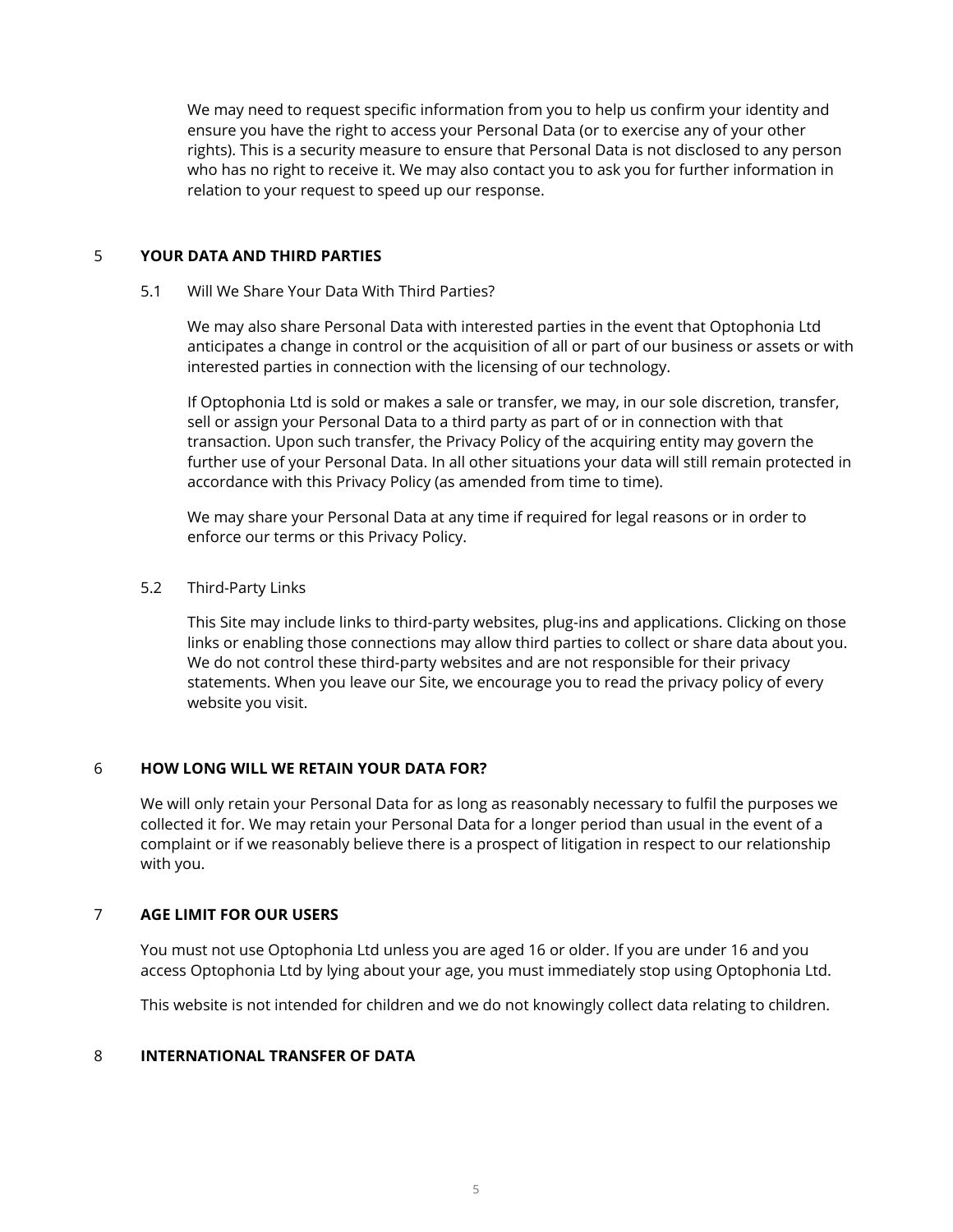We may need to request specific information from you to help us confirm your identity and ensure you have the right to access your Personal Data (or to exercise any of your other rights). This is a security measure to ensure that Personal Data is not disclosed to any person who has no right to receive it. We may also contact you to ask you for further information in relation to your request to speed up our response.

## 5 **YOUR DATA AND THIRD PARTIES**

#### 5.1 Will We Share Your Data With Third Parties?

We may also share Personal Data with interested parties in the event that Optophonia Ltd anticipates a change in control or the acquisition of all or part of our business or assets or with interested parties in connection with the licensing of our technology.

If Optophonia Ltd is sold or makes a sale or transfer, we may, in our sole discretion, transfer, sell or assign your Personal Data to a third party as part of or in connection with that transaction. Upon such transfer, the Privacy Policy of the acquiring entity may govern the further use of your Personal Data. In all other situations your data will still remain protected in accordance with this Privacy Policy (as amended from time to time).

We may share your Personal Data at any time if required for legal reasons or in order to enforce our terms or this Privacy Policy.

## 5.2 Third-Party Links

This Site may include links to third-party websites, plug-ins and applications. Clicking on those links or enabling those connections may allow third parties to collect or share data about you. We do not control these third-party websites and are not responsible for their privacy statements. When you leave our Site, we encourage you to read the privacy policy of every website you visit.

## 6 **HOW LONG WILL WE RETAIN YOUR DATA FOR?**

We will only retain your Personal Data for as long as reasonably necessary to fulfil the purposes we collected it for. We may retain your Personal Data for a longer period than usual in the event of a complaint or if we reasonably believe there is a prospect of litigation in respect to our relationship with you.

## 7 **AGE LIMIT FOR OUR USERS**

You must not use Optophonia Ltd unless you are aged 16 or older. If you are under 16 and you access Optophonia Ltd by lying about your age, you must immediately stop using Optophonia Ltd.

This website is not intended for children and we do not knowingly collect data relating to children.

#### 8 **INTERNATIONAL TRANSFER OF DATA**